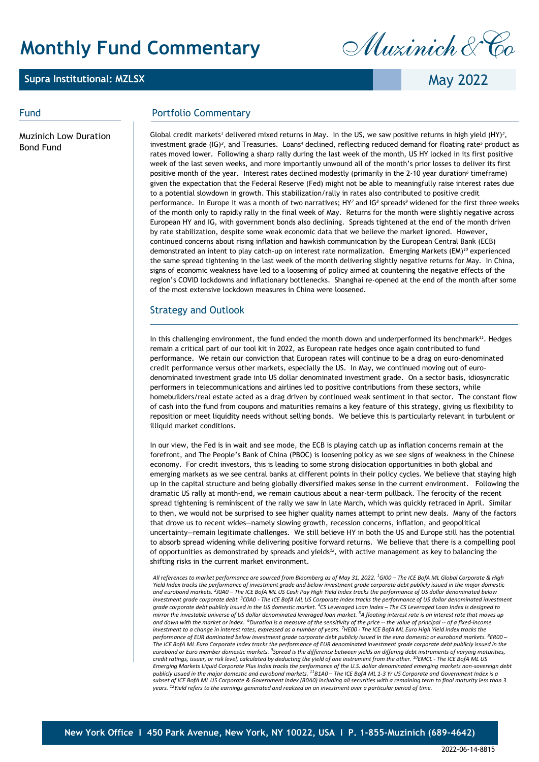# **Monthly Fund Commentary**

### **Supra Institutional: MZLSX**

Muzinich & Co

May 2022

Muzinich Low Duration Bond Fund

### Fund **Portfolio Commentary**

Global credit markets*<sup>1</sup>* delivered mixed returns in May. In the US, we saw positive returns in high yield (HY)*<sup>2</sup>* , investment grade (IG)*<sup>3</sup>* , and Treasuries. Loans*<sup>4</sup>* declined, reflecting reduced demand for floating rate*<sup>5</sup>* product as rates moved lower. Following a sharp rally during the last week of the month, US HY locked in its first positive week of the last seven weeks, and more importantly unwound all of the month's prior losses to deliver its first positive month of the year. Interest rates declined modestly (primarily in the 2-10 year duration*<sup>6</sup>* timeframe) given the expectation that the Federal Reserve (Fed) might not be able to meaningfully raise interest rates due to a potential slowdown in growth. This stabilization/rally in rates also contributed to positive credit performance. In Europe it was a month of two narratives; HY*<sup>7</sup>* and IG*<sup>8</sup>* spreads*<sup>9</sup>* widened for the first three weeks of the month only to rapidly rally in the final week of May. Returns for the month were slightly negative across European HY and IG, with government bonds also declining. Spreads tightened at the end of the month driven by rate stabilization, despite some weak economic data that we believe the market ignored. However, continued concerns about rising inflation and hawkish communication by the European Central Bank (ECB) demonstrated an intent to play catch-up on interest rate normalization. Emerging Markets (EM)*<sup>10</sup>* experienced the same spread tightening in the last week of the month delivering slightly negative returns for May. In China, signs of economic weakness have led to a loosening of policy aimed at countering the negative effects of the region's COVID lockdowns and inflationary bottlenecks. Shanghai re-opened at the end of the month after some of the most extensive lockdown measures in China were loosened.

### Strategy and Outlook

In this challenging environment, the fund ended the month down and underperformed its benchmark*<sup>11</sup>*. Hedges remain a critical part of our tool kit in 2022, as European rate hedges once again contributed to fund performance. We retain our conviction that European rates will continue to be a drag on euro-denominated credit performance versus other markets, especially the US. In May, we continued moving out of eurodenominated investment grade into US dollar denominated investment grade. On a sector basis, idiosyncratic performers in telecommunications and airlines led to positive contributions from these sectors, while homebuilders/real estate acted as a drag driven by continued weak sentiment in that sector. The constant flow of cash into the fund from coupons and maturities remains a key feature of this strategy, giving us flexibility to reposition or meet liquidity needs without selling bonds. We believe this is particularly relevant in turbulent or illiquid market conditions.

In our view, the Fed is in wait and see mode, the ECB is playing catch up as inflation concerns remain at the forefront, and The People's Bank of China (PBOC) is loosening policy as we see signs of weakness in the Chinese economy. For credit investors, this is leading to some strong dislocation opportunities in both global and emerging markets as we see central banks at different points in their policy cycles. We believe that staying high up in the capital structure and being globally diversified makes sense in the current environment. Following the dramatic US rally at month-end, we remain cautious about a near-term pullback. The ferocity of the recent spread tightening is reminiscent of the rally we saw in late March, which was quickly retraced in April. Similar to then, we would not be surprised to see higher quality names attempt to print new deals. Many of the factors that drove us to recent wides—namely slowing growth, recession concerns, inflation, and geopolitical uncertainty—remain legitimate challenges. We still believe HY in both the US and Europe still has the potential to absorb spread widening while delivering positive forward returns. We believe that there is a compelling pool of opportunities as demonstrated by spreads and yields*<sup>12</sup>*, with active management as key to balancing the shifting risks in the current market environment.

*All references to market performance are sourced from Bloomberg as of May 31, 2022. 1GI00 – The ICE BofA ML Global Corporate & High Yield Index tracks the performance of investment grade and below investment grade corporate debt publicly issued in the major domestic and eurobond markets. 2J0A0 – The ICE BofA ML US Cash Pay High Yield Index tracks the performance of US dollar denominated below investment grade corporate debt. 3C0A0 - The ICE BofA ML US Corporate Index tracks the performance of US dollar denominated investment grade corporate debt publicly issued in the US domestic market. 4CS Leveraged Loan Index – The CS Leveraged Loan Index is designed to mirror the investable universe of US dollar denominated leveraged loan market. 5A floating interest rate is an interest rate that moves up and down with the market or index. 6Duration is a measure of the sensitivity of the price -- the value of principal -- of a fixed-income investment to a change in interest rates, expressed as a number of years. <sup>7</sup> HE00 - The ICE BofA ML Euro High Yield Index tracks the performance of EUR dominated below investment grade corporate debt publicly issued in the euro domestic or eurobond markets. 8ER00 – The ICE BofA ML Euro Corporate Index tracks the performance of EUR denominated investment grade corporate debt publicly issued in the*  eurobond or Euro member domestic markets. <sup>9</sup>Spread is the difference between yields on differing debt instruments of varying maturities,<br>credit ratings, issuer, or risk level, calculated by deducting the yield of one inst Emerging Markets Liquid Corporate Plus Index tracks the performance of the U.S. dollar denominated emerging markets non-sovereign debt<br>publicly issued in the major domestic and eurobond markets. <sup>11</sup>B1A0 – The ICE BofA ML *subset of ICE BofA ML US Corporate & Government Index (B0A0) including all securities with a remaining term to final maturity less than 3 years. 12Yield refers to the earnings generated and realized on an investment over a particular period of time.*